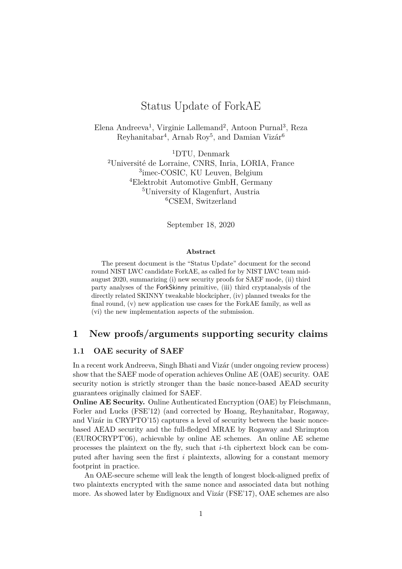# Status Update of ForkAE

Elena Andreeva<sup>1</sup>, Virginie Lallemand<sup>2</sup>, Antoon Purnal<sup>3</sup>, Reza Reyhanitabar<sup>4</sup>, Arnab Roy<sup>5</sup>, and Damian Vizár<sup>6</sup>

DTU, Denmark Université de Lorraine, CNRS, Inria, LORIA, France imec-COSIC, KU Leuven, Belgium Elektrobit Automotive GmbH, Germany University of Klagenfurt, Austria CSEM, Switzerland

September 18, 2020

#### **Abstract**

The present document is the "Status Update" document for the second round NIST LWC candidate ForkAE, as called for by NIST LWC team midaugust 2020, summarizing (i) new security proofs for SAEF mode, (ii) third party analyses of the ForkSkinny primitive, (iii) third cryptanalysis of the directly related SKINNY tweakable blockcipher, (iv) planned tweaks for the fnal round, (v) new application use cases for the ForkAE family, as well as (vi) the new implementation aspects of the submission.

# **1 New proofs/arguments supporting security claims**

### <span id="page-0-0"></span>**1.1 OAE security of SAEF**

In a recent work Andreeva, Singh Bhati and Vizár (under ongoing review process) show that the SAEF mode of operation achieves Online AE (OAE) security. OAE security notion is strictly stronger than the basic nonce-based AEAD security guarantees originally claimed for SAEF.

**Online AE Security.** Online Authenticated Encryption (OAE) by Fleischmann, Forler and Lucks (FSE'12) (and corrected by Hoang, Reyhanitabar, Rogaway, and Vizár in CRYPTO'15) captures a level of security between the basic noncebased AEAD security and the full-fedged MRAE by Rogaway and Shrimpton (EUROCRYPT'06), achievable by online AE schemes. An online AE scheme processes the plaintext on the fy, such that *i*-th ciphertext block can be computed after having seen the frst *i* plaintexts, allowing for a constant memory footprint in practice.

An OAE-secure scheme will leak the length of longest block-aligned prefx of two plaintexts encrypted with the same nonce and associated data but nothing more. As showed later by Endignoux and Vizár (FSE'17), OAE schemes are also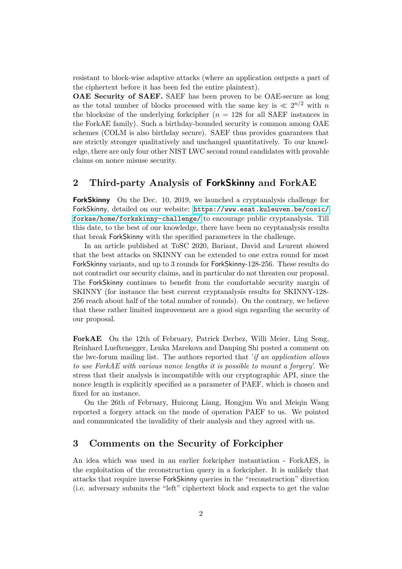resistant to block-wise adaptive attacks (where an application outputs a part of the ciphertext before it has been fed the entire plaintext).

**OAE Security of SAEF.** SAEF has been proven to be OAE-secure as long as the total number of blocks processed with the same key is  $\ll 2^{n/2}$  with *n* the blocksize of the underlying forkcipher  $(n = 128$  for all SAEF instances in the ForkAE family). Such a birthday-bounded security is common among OAE schemes (COLM is also birthday secure). SAEF thus provides guarantees that are strictly stronger qualitatively and unchanged quantitatively. To our knowledge, there are only four other NIST LWC second round candidates with provable claims on nonce misuse security.

# **2 Third-party Analysis of ForkSkinny and ForkAE**

**ForkSkinny** On the Dec. 10, 2019, we launched a cryptanalysis challenge for ForkSkinny, detailed on our website: [https://www.esat.kuleuven.be/cosic/](https://www.esat.kuleuven.be/cosic/forkae/home/forkskinny-challenge/) [forkae/home/forkskinny-challenge/](https://www.esat.kuleuven.be/cosic/forkae/home/forkskinny-challenge/) to encourage public cryptanalysis. Till this date, to the best of our knowledge, there have been no cryptanalysis results that break ForkSkinny with the specifed parameters in the challenge.

In an article published at ToSC 2020, Bariant, David and Leurent showed that the best attacks on SKINNY can be extended to one extra round for most ForkSkinny variants, and up to 3 rounds for ForkSkinny-128-256. These results do not contradict our security claims, and in particular do not threaten our proposal. The ForkSkinny continues to beneft from the comfortable security margin of SKINNY (for instance the best current cryptanalysis results for SKINNY-128- 256 reach about half of the total number of rounds). On the contrary, we believe that these rather limited improvement are a good sign regarding the security of our proposal.

**ForkAE** On the 12th of February, Patrick Derbez, Willi Meier, Ling Song, Reinhard Lueftenegger, Lenka Marekova and Danping Shi posted a comment on the lwc-forum mailing list. The authors reported that '*if an application allows to use ForkAE with various nonce lengths it is possible to mount a forgery*'. We stress that their analysis is incompatible with our cryptographic API, since the nonce length is explicitly specifed as a parameter of PAEF, which is chosen and fxed for an instance.

On the 26th of February, Huicong Liang, Hongjun Wu and Meiqin Wang reported a forgery attack on the mode of operation PAEF to us. We pointed and communicated the invalidity of their analysis and they agreed with us.

# **3 Comments on the Security of Forkcipher**

An idea which was used in an earlier forkcipher instantiation - ForkAES, is the exploitation of the reconstruction query in a forkcipher. It is unlikely that attacks that require inverse ForkSkinny queries in the "reconstruction" direction (i.e. adversary submits the "left" ciphertext block and expects to get the value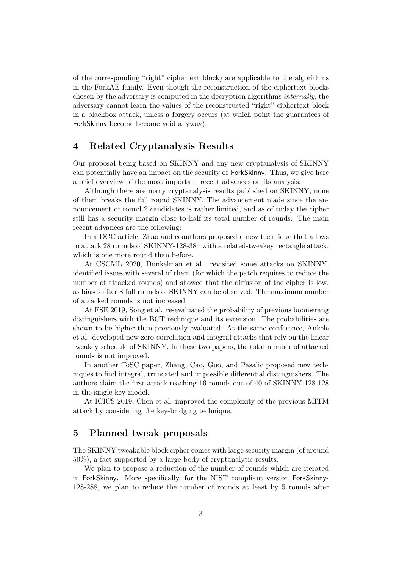of the corresponding "right" ciphertext block) are applicable to the algorithms in the ForkAE family. Even though the reconstruction of the ciphertext blocks chosen by the adversary is computed in the decryption algorithms *internally*, the adversary cannot learn the values of the reconstructed "right" ciphertext block in a blackbox attack, unless a forgery occurs (at which point the guarantees of ForkSkinny become become void anyway).

# **4 Related Cryptanalysis Results**

Our proposal being based on SKINNY and any new cryptanalysis of SKINNY can potentially have an impact on the security of ForkSkinny. Thus, we give here a brief overview of the most important recent advances on its analysis.

Although there are many cryptanalysis results published on SKINNY, none of them breaks the full round SKINNY. The advancement made since the announcement of round 2 candidates is rather limited, and as of today the cipher still has a security margin close to half its total number of rounds. The main recent advances are the following:

In a DCC article, Zhao and coauthors proposed a new technique that allows to attack 28 rounds of SKINNY-128-384 with a related-tweakey rectangle attack, which is one more round than before.

At CSCML 2020, Dunkelman et al. revisited some attacks on SKINNY, identifed issues with several of them (for which the patch requires to reduce the number of attacked rounds) and showed that the diffusion of the cipher is low, as biases after 8 full rounds of SKINNY can be observed. The maximum number of attacked rounds is not increased.

At FSE 2019, Song et al. re-evaluated the probability of previous boomerang distinguishers with the BCT technique and its extension. The probabilities are shown to be higher than previously evaluated. At the same conference, Ankele et al. developed new zero-correlation and integral attacks that rely on the linear tweakey schedule of SKINNY. In these two papers, the total number of attacked rounds is not improved.

In another ToSC paper, Zhang, Cao, Guo, and Pasalic proposed new techniques to find integral, truncated and impossible differential distinguishers. The authors claim the frst attack reaching 16 rounds out of 40 of SKINNY-128-128 in the single-key model.

At ICICS 2019, Chen et al. improved the complexity of the previous MITM attack by considering the key-bridging technique.

# **5 Planned tweak proposals**

The SKINNY tweakable block cipher comes with large security margin (of around 50%), a fact supported by a large body of cryptanalytic results.

We plan to propose a reduction of the number of rounds which are iterated in ForkSkinny. More specifcally, for the NIST compliant version ForkSkinny-128-288, we plan to reduce the number of rounds at least by 5 rounds after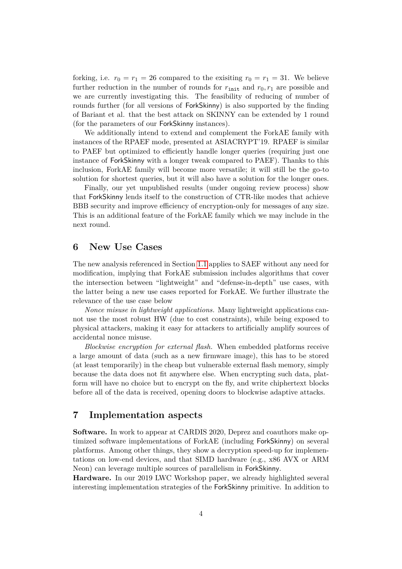forking, i.e.  $r_0 = r_1 = 26$  compared to the exisiting  $r_0 = r_1 = 31$ . We believe further reduction in the number of rounds for  $r_{\text{init}}$  and  $r_0, r_1$  are possible and we are currently investigating this. The feasibility of reducing of number of rounds further (for all versions of ForkSkinny) is also supported by the fnding of Bariant et al. that the best attack on SKINNY can be extended by 1 round (for the parameters of our ForkSkinny instances).

We additionally intend to extend and complement the ForkAE family with instances of the RPAEF mode, presented at ASIACRYPT'19. RPAEF is similar to PAEF but optimized to efficiently handle longer queries (requiring just one instance of ForkSkinny with a longer tweak compared to PAEF). Thanks to this inclusion, ForkAE family will become more versatile; it will still be the go-to solution for shortest queries, but it will also have a solution for the longer ones.

Finally, our yet unpublished results (under ongoing review process) show that ForkSkinny lends itself to the construction of CTR-like modes that achieve BBB security and improve efficiency of encryption-only for messages of any size. This is an additional feature of the ForkAE family which we may include in the next round.

## **6 New Use Cases**

The new analysis referenced in Section [1.1](#page-0-0) applies to SAEF without any need for modifcation, implying that ForkAE submission includes algorithms that cover the intersection between "lightweight" and "defense-in-depth" use cases, with the latter being a new use cases reported for ForkAE. We further illustrate the relevance of the use case below

*Nonce misuse in lightweight applications.* Many lightweight applications cannot use the most robust HW (due to cost constraints), while being exposed to physical attackers, making it easy for attackers to artifcially amplify sources of accidental nonce misuse.

*Blockwise encryption for external fash.* When embedded platforms receive a large amount of data (such as a new frmware image), this has to be stored (at least temporarily) in the cheap but vulnerable external fash memory, simply because the data does not ft anywhere else. When encrypting such data, platform will have no choice but to encrypt on the fy, and write chiphertext blocks before all of the data is received, opening doors to blockwise adaptive attacks.

# **7 Implementation aspects**

**Software.** In work to appear at CARDIS 2020, Deprez and coauthors make optimized software implementations of ForkAE (including ForkSkinny) on several platforms. Among other things, they show a decryption speed-up for implementations on low-end devices, and that SIMD hardware (e.g., x86 AVX or ARM Neon) can leverage multiple sources of parallelism in ForkSkinny.

**Hardware.** In our 2019 LWC Workshop paper, we already highlighted several interesting implementation strategies of the ForkSkinny primitive. In addition to